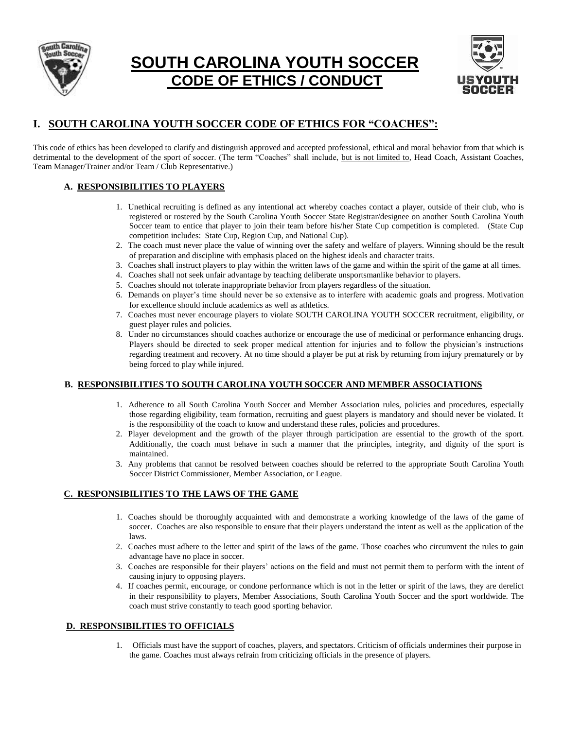

# **SOUTH CAROLINA YOUTH SOCCER CODE OF ETHICS / CONDUCT**



# **I. SOUTH CAROLINA YOUTH SOCCER CODE OF ETHICS FOR "COACHES":**

This code of ethics has been developed to clarify and distinguish approved and accepted professional, ethical and moral behavior from that which is detrimental to the development of the sport of soccer. (The term "Coaches" shall include, but is not limited to, Head Coach, Assistant Coaches, Team Manager/Trainer and/or Team / Club Representative.)

### **A. RESPONSIBILITIES TO PLAYERS**

- 1. Unethical recruiting is defined as any intentional act whereby coaches contact a player, outside of their club, who is registered or rostered by the South Carolina Youth Soccer State Registrar/designee on another South Carolina Youth Soccer team to entice that player to join their team before his/her State Cup competition is completed. (State Cup competition includes: State Cup, Region Cup, and National Cup).
- 2. The coach must never place the value of winning over the safety and welfare of players. Winning should be the result of preparation and discipline with emphasis placed on the highest ideals and character traits.
- 3. Coaches shall instruct players to play within the written laws of the game and within the spirit of the game at all times.
- 4. Coaches shall not seek unfair advantage by teaching deliberate unsportsmanlike behavior to players.
- 5. Coaches should not tolerate inappropriate behavior from players regardless of the situation.
- 6. Demands on player's time should never be so extensive as to interfere with academic goals and progress. Motivation for excellence should include academics as well as athletics.
- 7. Coaches must never encourage players to violate SOUTH CAROLINA YOUTH SOCCER recruitment, eligibility, or guest player rules and policies.
- 8. Under no circumstances should coaches authorize or encourage the use of medicinal or performance enhancing drugs. Players should be directed to seek proper medical attention for injuries and to follow the physician's instructions regarding treatment and recovery. At no time should a player be put at risk by returning from injury prematurely or by being forced to play while injured.

#### **B. RESPONSIBILITIES TO SOUTH CAROLINA YOUTH SOCCER AND MEMBER ASSOCIATIONS**

- 1. Adherence to all South Carolina Youth Soccer and Member Association rules, policies and procedures, especially those regarding eligibility, team formation, recruiting and guest players is mandatory and should never be violated. It is the responsibility of the coach to know and understand these rules, policies and procedures.
- 2. Player development and the growth of the player through participation are essential to the growth of the sport. Additionally, the coach must behave in such a manner that the principles, integrity, and dignity of the sport is maintained.
- 3. Any problems that cannot be resolved between coaches should be referred to the appropriate South Carolina Youth Soccer District Commissioner, Member Association, or League.

#### **C. RESPONSIBILITIES TO THE LAWS OF THE GAME**

- 1. Coaches should be thoroughly acquainted with and demonstrate a working knowledge of the laws of the game of soccer. Coaches are also responsible to ensure that their players understand the intent as well as the application of the laws.
- 2. Coaches must adhere to the letter and spirit of the laws of the game. Those coaches who circumvent the rules to gain advantage have no place in soccer.
- 3. Coaches are responsible for their players' actions on the field and must not permit them to perform with the intent of causing injury to opposing players.
- 4. If coaches permit, encourage, or condone performance which is not in the letter or spirit of the laws, they are derelict in their responsibility to players, Member Associations, South Carolina Youth Soccer and the sport worldwide. The coach must strive constantly to teach good sporting behavior.

#### **D. RESPONSIBILITIES TO OFFICIALS**

1. Officials must have the support of coaches, players, and spectators. Criticism of officials undermines their purpose in the game. Coaches must always refrain from criticizing officials in the presence of players.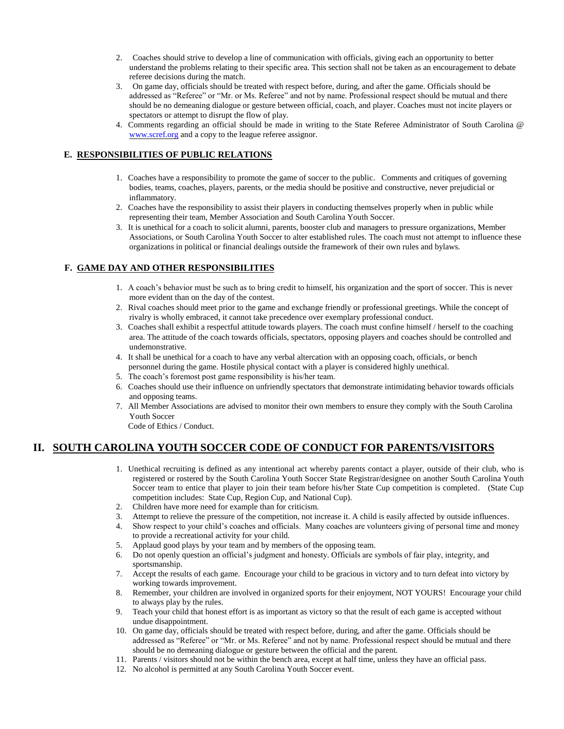- 2. Coaches should strive to develop a line of communication with officials, giving each an opportunity to better understand the problems relating to their specific area. This section shall not be taken as an encouragement to debate referee decisions during the match.
- 3. On game day, officials should be treated with respect before, during, and after the game. Officials should be addressed as "Referee" or "Mr. or Ms. Referee" and not by name. Professional respect should be mutual and there should be no demeaning dialogue or gesture between official, coach, and player. Coaches must not incite players or spectators or attempt to disrupt the flow of play.
- 4. Comments regarding an official should be made in writing to the State Referee Administrator of South Carolina @ [www.scref.org](http://www.scref.org/) and a copy to the league referee assignor.

#### **E. RESPONSIBILITIES OF PUBLIC RELATIONS**

- 1. Coaches have a responsibility to promote the game of soccer to the public. Comments and critiques of governing bodies, teams, coaches, players, parents, or the media should be positive and constructive, never prejudicial or inflammatory.
- 2. Coaches have the responsibility to assist their players in conducting themselves properly when in public while representing their team, Member Association and South Carolina Youth Soccer.
- 3. It is unethical for a coach to solicit alumni, parents, booster club and managers to pressure organizations, Member Associations, or South Carolina Youth Soccer to alter established rules. The coach must not attempt to influence these organizations in political or financial dealings outside the framework of their own rules and bylaws.

## **F. GAME DAY AND OTHER RESPONSIBILITIES**

- 1. A coach's behavior must be such as to bring credit to himself, his organization and the sport of soccer. This is never more evident than on the day of the contest.
- 2. Rival coaches should meet prior to the game and exchange friendly or professional greetings. While the concept of rivalry is wholly embraced, it cannot take precedence over exemplary professional conduct.
- 3. Coaches shall exhibit a respectful attitude towards players. The coach must confine himself / herself to the coaching area. The attitude of the coach towards officials, spectators, opposing players and coaches should be controlled and undemonstrative.
- 4. It shall be unethical for a coach to have any verbal altercation with an opposing coach, officials, or bench personnel during the game. Hostile physical contact with a player is considered highly unethical.
- 5. The coach's foremost post game responsibility is his/her team.
- 6. Coaches should use their influence on unfriendly spectators that demonstrate intimidating behavior towards officials and opposing teams.
- 7. All Member Associations are advised to monitor their own members to ensure they comply with the South Carolina Youth Soccer

Code of Ethics / Conduct.

# **II. SOUTH CAROLINA YOUTH SOCCER CODE OF CONDUCT FOR PARENTS/VISITORS**

- 1. Unethical recruiting is defined as any intentional act whereby parents contact a player, outside of their club, who is registered or rostered by the South Carolina Youth Soccer State Registrar/designee on another South Carolina Youth Soccer team to entice that player to join their team before his/her State Cup competition is completed. (State Cup competition includes: State Cup, Region Cup, and National Cup).
- 2. Children have more need for example than for criticism.
- 3. Attempt to relieve the pressure of the competition, not increase it. A child is easily affected by outside influences.
- 4. Show respect to your child's coaches and officials. Many coaches are volunteers giving of personal time and money to provide a recreational activity for your child.
- 5. Applaud good plays by your team and by members of the opposing team.
- 6. Do not openly question an official's judgment and honesty. Officials are symbols of fair play, integrity, and sportsmanship.
- 7. Accept the results of each game. Encourage your child to be gracious in victory and to turn defeat into victory by working towards improvement.
- 8. Remember, your children are involved in organized sports for their enjoyment, NOT YOURS! Encourage your child to always play by the rules.
- 9. Teach your child that honest effort is as important as victory so that the result of each game is accepted without undue disappointment.
- 10. On game day, officials should be treated with respect before, during, and after the game. Officials should be addressed as "Referee" or "Mr. or Ms. Referee" and not by name. Professional respect should be mutual and there should be no demeaning dialogue or gesture between the official and the parent.
- 11. Parents / visitors should not be within the bench area, except at half time, unless they have an official pass.
- 12. No alcohol is permitted at any South Carolina Youth Soccer event.